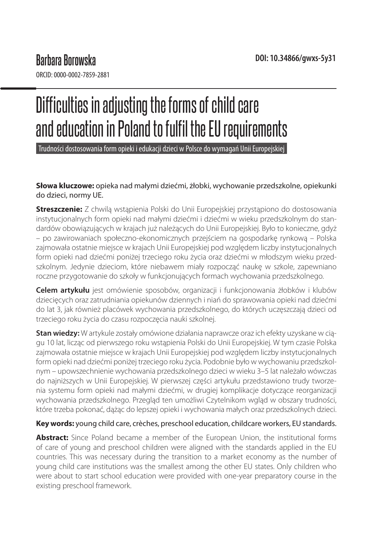ORCID: 0000-0002-7859-2881

# Difficulties in adjusting the forms of child care and education in Poland to fulfil the EU requirements

Trudności dostosowania form opieki i edukacji dzieci w Polsce do wymagań Unii Europejskiej

**Słowa kluczowe:** opieka nad małymi dziećmi, żłobki, wychowanie przedszkolne, opiekunki do dzieci, normy UE.

**Streszczenie:** Z chwilą wstąpienia Polski do Unii Europejskiej przystąpiono do dostosowania instytucjonalnych form opieki nad małymi dziećmi i dziećmi w wieku przedszkolnym do standardów obowiązujących w krajach już należących do Unii Europejskiej. Było to konieczne, gdyż – po zawirowaniach społeczno-ekonomicznych przejściem na gospodarkę rynkową – Polska zajmowała ostatnie miejsce w krajach Unii Europejskiej pod względem liczby instytucjonalnych form opieki nad dziećmi poniżej trzeciego roku życia oraz dziećmi w młodszym wieku przedszkolnym. Jedynie dzieciom, które niebawem miały rozpocząć naukę w szkole, zapewniano roczne przygotowanie do szkoły w funkcjonujących formach wychowania przedszkolnego.

**Celem artykułu** jest omówienie sposobów, organizacji i funkcjonowania żłobków i klubów dziecięcych oraz zatrudniania opiekunów dziennych i niań do sprawowania opieki nad dziećmi do lat 3, jak również placówek wychowania przedszkolnego, do których uczęszczają dzieci od trzeciego roku życia do czasu rozpoczęcia nauki szkolnej.

**Stan wiedzy:** W artykule zostały omówione działania naprawcze oraz ich efekty uzyskane w ciągu 10 lat, licząc od pierwszego roku wstąpienia Polski do Unii Europejskiej. W tym czasie Polska zajmowała ostatnie miejsce w krajach Unii Europejskiej pod względem liczby instytucjonalnych form opieki nad dziećmi poniżej trzeciego roku życia. Podobnie było w wychowaniu przedszkolnym – upowszechnienie wychowania przedszkolnego dzieci w wieku 3–5 lat należało wówczas do najniższych w Unii Europejskiej. W pierwszej części artykułu przedstawiono trudy tworzenia systemu form opieki nad małymi dziećmi, w drugiej komplikacje dotyczące reorganizacji wychowania przedszkolnego. Przegląd ten umożliwi Czytelnikom wgląd w obszary trudności, które trzeba pokonać, dążąc do lepszej opieki i wychowania małych oraz przedszkolnych dzieci.

#### **Key words:** young child care, crèches, preschool education, childcare workers, EU standards.

**Abstract:** Since Poland became a member of the European Union, the institutional forms of care of young and preschool children were aligned with the standards applied in the EU countries. This was necessary during the transition to a market economy as the number of young child care institutions was the smallest among the other EU states. Only children who were about to start school education were provided with one-year preparatory course in the existing preschool framework.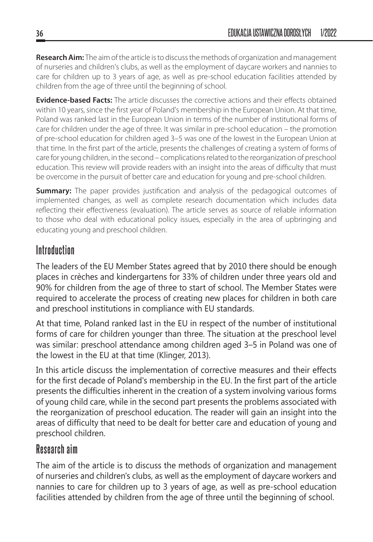**Research Aim:** The aim of the article is to discuss the methods of organization and management of nurseries and children's clubs, as well as the employment of daycare workers and nannies to care for children up to 3 years of age, as well as pre-school education facilities attended by children from the age of three until the beginning of school.

**Evidence-based Facts:** The article discusses the corrective actions and their effects obtained within 10 years, since the first year of Poland's membership in the European Union. At that time, Poland was ranked last in the European Union in terms of the number of institutional forms of care for children under the age of three. It was similar in pre-school education – the promotion of pre-school education for children aged 3–5 was one of the lowest in the European Union at that time. In the first part of the article, presents the challenges of creating a system of forms of care for young children, in the second – complications related to the reorganization of preschool education. This review will provide readers with an insight into the areas of difficulty that must be overcome in the pursuit of better care and education for young and pre-school children.

**Summary:** The paper provides justification and analysis of the pedagogical outcomes of implemented changes, as well as complete research documentation which includes data reflecting their effectiveness (evaluation). The article serves as source of reliable information to those who deal with educational policy issues, especially in the area of upbringing and educating young and preschool children.

# **Introduction**

The leaders of the EU Member States agreed that by 2010 there should be enough places in crèches and kindergartens for 33% of children under three years old and 90% for children from the age of three to start of school. The Member States were required to accelerate the process of creating new places for children in both care and preschool institutions in compliance with EU standards.

At that time, Poland ranked last in the EU in respect of the number of institutional forms of care for children younger than three. The situation at the preschool level was similar: preschool attendance among children aged 3–5 in Poland was one of the lowest in the EU at that time (Klinger, 2013).

In this article discuss the implementation of corrective measures and their effects for the first decade of Poland's membership in the EU. In the first part of the article presents the difficulties inherent in the creation of a system involving various forms of young child care, while in the second part presents the problems associated with the reorganization of preschool education. The reader will gain an insight into the areas of difficulty that need to be dealt for better care and education of young and preschool children.

## **Research aim**

The aim of the article is to discuss the methods of organization and management of nurseries and children's clubs, as well as the employment of daycare workers and nannies to care for children up to 3 years of age, as well as pre-school education facilities attended by children from the age of three until the beginning of school.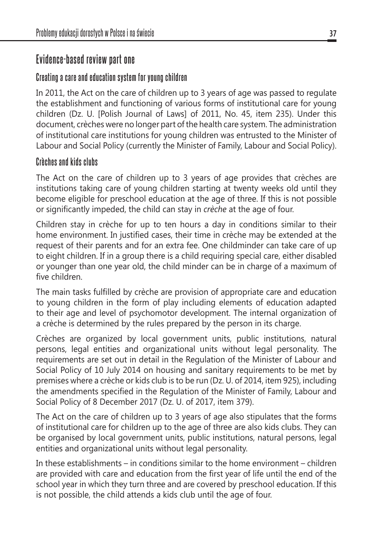# **Evidence-based review part one**

### **Creating a care and education system for young children**

In 2011, the Act on the care of children up to 3 years of age was passed to regulate the establishment and functioning of various forms of institutional care for young children (Dz. U. [Polish Journal of Laws] of 2011, No. 45, item 235). Under this document, crèches were no longer part of the health care system. The administration of institutional care institutions for young children was entrusted to the Minister of Labour and Social Policy (currently the Minister of Family, Labour and Social Policy).

#### **Crèches and kids clubs**

The Act on the care of children up to 3 years of age provides that crèches are institutions taking care of young children starting at twenty weeks old until they become eligible for preschool education at the age of three. If this is not possible or significantly impeded, the child can stay in *crèche* at the age of four.

Children stay in crèche for up to ten hours a day in conditions similar to their home environment. In justified cases, their time in crèche may be extended at the request of their parents and for an extra fee. One childminder can take care of up to eight children. If in a group there is a child requiring special care, either disabled or younger than one year old, the child minder can be in charge of a maximum of five children.

The main tasks fulfilled by crèche are provision of appropriate care and education to young children in the form of play including elements of education adapted to their age and level of psychomotor development. The internal organization of a crèche is determined by the rules prepared by the person in its charge.

Crèches are organized by local government units, public institutions, natural persons, legal entities and organizational units without legal personality. The requirements are set out in detail in the Regulation of the Minister of Labour and Social Policy of 10 July 2014 on housing and sanitary requirements to be met by premises where a crèche or kids club is to be run (Dz. U. of 2014, item 925), including the amendments specified in the Regulation of the Minister of Family, Labour and Social Policy of 8 December 2017 (Dz. U. of 2017, item 379).

The Act on the care of children up to 3 years of age also stipulates that the forms of institutional care for children up to the age of three are also kids clubs. They can be organised by local government units, public institutions, natural persons, legal entities and organizational units without legal personality.

In these establishments – in conditions similar to the home environment – children are provided with care and education from the first year of life until the end of the school year in which they turn three and are covered by preschool education. If this is not possible, the child attends a kids club until the age of four.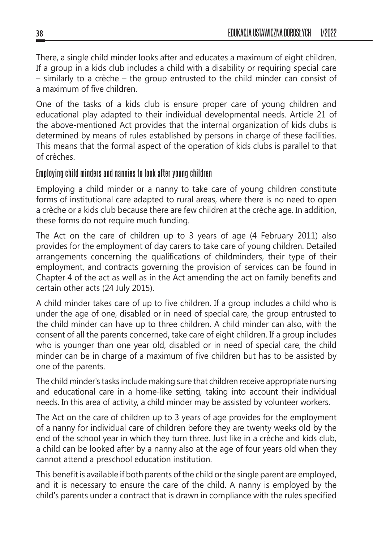There, a single child minder looks after and educates a maximum of eight children. If a group in a kids club includes a child with a disability or requiring special care – similarly to a crèche – the group entrusted to the child minder can consist of a maximum of five children.

One of the tasks of a kids club is ensure proper care of young children and educational play adapted to their individual developmental needs. Article 21 of the above-mentioned Act provides that the internal organization of kids clubs is determined by means of rules established by persons in charge of these facilities. This means that the formal aspect of the operation of kids clubs is parallel to that of crèches.

#### **Employing child minders and nannies to look after young children**

Employing a child minder or a nanny to take care of young children constitute forms of institutional care adapted to rural areas, where there is no need to open a crèche or a kids club because there are few children at the crèche age. In addition, these forms do not require much funding.

The Act on the care of children up to 3 years of age (4 February 2011) also provides for the employment of day carers to take care of young children. Detailed arrangements concerning the qualifications of childminders, their type of their employment, and contracts governing the provision of services can be found in Chapter 4 of the act as well as in the Act amending the act on family benefits and certain other acts (24 July 2015).

A child minder takes care of up to five children. If a group includes a child who is under the age of one, disabled or in need of special care, the group entrusted to the child minder can have up to three children. A child minder can also, with the consent of all the parents concerned, take care of eight children. If a group includes who is younger than one year old, disabled or in need of special care, the child minder can be in charge of a maximum of five children but has to be assisted by one of the parents.

The child minder's tasks include making sure that children receive appropriate nursing and educational care in a home-like setting, taking into account their individual needs. In this area of activity, a child minder may be assisted by volunteer workers.

The Act on the care of children up to 3 years of age provides for the employment of a nanny for individual care of children before they are twenty weeks old by the end of the school year in which they turn three. Just like in a crèche and kids club, a child can be looked after by a nanny also at the age of four years old when they cannot attend a preschool education institution.

This benefit is available if both parents of the child or the single parent are employed, and it is necessary to ensure the care of the child. A nanny is employed by the child's parents under a contract that is drawn in compliance with the rules specified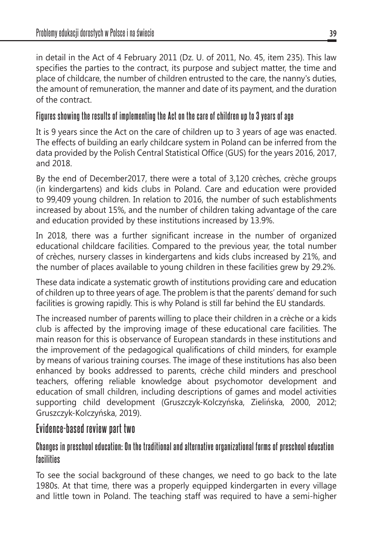in detail in the Act of 4 February 2011 (Dz. U. of 2011, No. 45, item 235). This law specifies the parties to the contract, its purpose and subject matter, the time and place of childcare, the number of children entrusted to the care, the nanny's duties, the amount of remuneration, the manner and date of its payment, and the duration of the contract.

## **Figures showing the results of implementing the Act on the care of children up to 3 years of age**

It is 9 years since the Act on the care of children up to 3 years of age was enacted. The effects of building an early childcare system in Poland can be inferred from the data provided by the Polish Central Statistical Office (GUS) for the years 2016, 2017, and 2018.

By the end of December2017, there were a total of 3,120 crèches, crèche groups (in kindergartens) and kids clubs in Poland. Care and education were provided to 99,409 young children. In relation to 2016, the number of such establishments increased by about 15%, and the number of children taking advantage of the care and education provided by these institutions increased by 13.9%.

In 2018, there was a further significant increase in the number of organized educational childcare facilities. Compared to the previous year, the total number of crèches, nursery classes in kindergartens and kids clubs increased by 21%, and the number of places available to young children in these facilities grew by 29.2%.

These data indicate a systematic growth of institutions providing care and education of children up to three years of age. The problem is that the parents' demand for such facilities is growing rapidly. This is why Poland is still far behind the EU standards.

The increased number of parents willing to place their children in a crèche or a kids club is affected by the improving image of these educational care facilities. The main reason for this is observance of European standards in these institutions and the improvement of the pedagogical qualifications of child minders, for example by means of various training courses. The image of these institutions has also been enhanced by books addressed to parents, crèche child minders and preschool teachers, offering reliable knowledge about psychomotor development and education of small children, including descriptions of games and model activities supporting child development (Gruszczyk-Kolczyńska, Zielińska, 2000, 2012; Gruszczyk-Kolczyńska, 2019).

## **Evidence-based review part two**

## **Changes in preschool education: On the traditional and alternative organizational forms of preschool education facilities**

To see the social background of these changes, we need to go back to the late 1980s. At that time, there was a properly equipped kindergarten in every village and little town in Poland. The teaching staff was required to have a semi-higher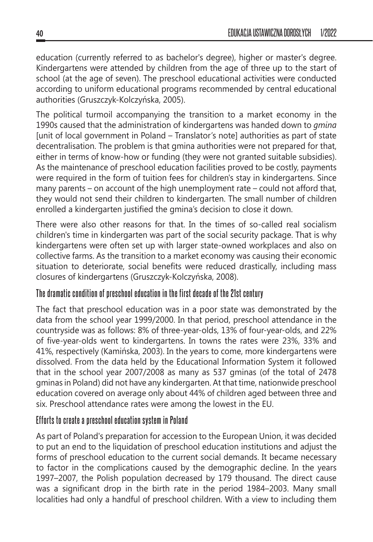education (currently referred to as bachelor's degree), higher or master's degree. Kindergartens were attended by children from the age of three up to the start of school (at the age of seven). The preschool educational activities were conducted according to uniform educational programs recommended by central educational authorities (Gruszczyk-Kolczyńska, 2005).

The political turmoil accompanying the transition to a market economy in the 1990s caused that the administration of kindergartens was handed down to *gmina* [unit of local government in Poland – Translator's note] authorities as part of state decentralisation. The problem is that gmina authorities were not prepared for that, either in terms of know-how or funding (they were not granted suitable subsidies). As the maintenance of preschool education facilities proved to be costly, payments were required in the form of tuition fees for children's stay in kindergartens. Since many parents – on account of the high unemployment rate – could not afford that, they would not send their children to kindergarten. The small number of children enrolled a kindergarten justified the gmina's decision to close it down.

There were also other reasons for that. In the times of so-called real socialism children's time in kindergarten was part of the social security package. That is why kindergartens were often set up with larger state-owned workplaces and also on collective farms. As the transition to a market economy was causing their economic situation to deteriorate, social benefits were reduced drastically, including mass closures of kindergartens (Gruszczyk-Kolczyńska, 2008).

#### **The dramatic condition of preschool education in the first decade of the 21st century**

The fact that preschool education was in a poor state was demonstrated by the data from the school year 1999/2000. In that period, preschool attendance in the countryside was as follows: 8% of three-year-olds, 13% of four-year-olds, and 22% of five-year-olds went to kindergartens. In towns the rates were 23%, 33% and 41%, respectively (Kamińska, 2003). In the years to come, more kindergartens were dissolved. From the data held by the Educational Information System it followed that in the school year 2007/2008 as many as 537 gminas (of the total of 2478 gminas in Poland) did not have any kindergarten. At that time, nationwide preschool education covered on average only about 44% of children aged between three and six. Preschool attendance rates were among the lowest in the EU.

#### **Efforts to create a preschool education system in Poland**

As part of Poland's preparation for accession to the European Union, it was decided to put an end to the liquidation of preschool education institutions and adjust the forms of preschool education to the current social demands. It became necessary to factor in the complications caused by the demographic decline. In the years 1997–2007, the Polish population decreased by 179 thousand. The direct cause was a significant drop in the birth rate in the period 1984–2003. Many small localities had only a handful of preschool children. With a view to including them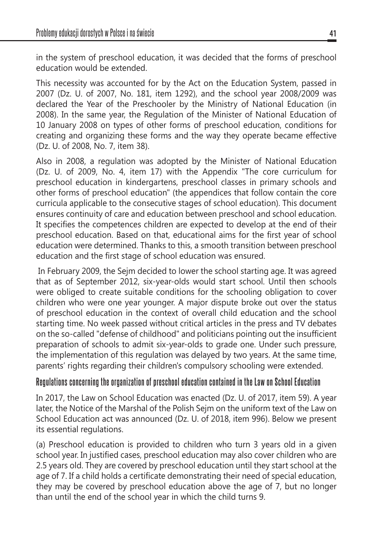in the system of preschool education, it was decided that the forms of preschool education would be extended.

This necessity was accounted for by the Act on the Education System, passed in 2007 (Dz. U. of 2007, No. 181, item 1292), and the school year 2008/2009 was declared the Year of the Preschooler by the Ministry of National Education (in 2008). In the same year, the Regulation of the Minister of National Education of 10 January 2008 on types of other forms of preschool education, conditions for creating and organizing these forms and the way they operate became effective (Dz. U. of 2008, No. 7, item 38).

Also in 2008, a regulation was adopted by the Minister of National Education (Dz. U. of 2009, No. 4, item 17) with the Appendix "The core curriculum for preschool education in kindergartens, preschool classes in primary schools and other forms of preschool education" (the appendices that follow contain the core curricula applicable to the consecutive stages of school education). This document ensures continuity of care and education between preschool and school education. It specifies the competences children are expected to develop at the end of their preschool education. Based on that, educational aims for the first year of school education were determined. Thanks to this, a smooth transition between preschool education and the first stage of school education was ensured.

 In February 2009, the Sejm decided to lower the school starting age. It was agreed that as of September 2012, six-year-olds would start school. Until then schools were obliged to create suitable conditions for the schooling obligation to cover children who were one year younger. A major dispute broke out over the status of preschool education in the context of overall child education and the school starting time. No week passed without critical articles in the press and TV debates on the so-called "defense of childhood" and politicians pointing out the insufficient preparation of schools to admit six-year-olds to grade one. Under such pressure, the implementation of this regulation was delayed by two years. At the same time, parents' rights regarding their children's compulsory schooling were extended.

#### **Regulations concerning the organization of preschool education contained in the Law on School Education**

In 2017, the Law on School Education was enacted (Dz. U. of 2017, item 59). A year later, the Notice of the Marshal of the Polish Sejm on the uniform text of the Law on School Education act was announced (Dz. U. of 2018, item 996). Below we present its essential regulations.

(a) Preschool education is provided to children who turn 3 years old in a given school year. In justified cases, preschool education may also cover children who are 2.5 years old. They are covered by preschool education until they start school at the age of 7. If a child holds a certificate demonstrating their need of special education, they may be covered by preschool education above the age of 7, but no longer than until the end of the school year in which the child turns 9.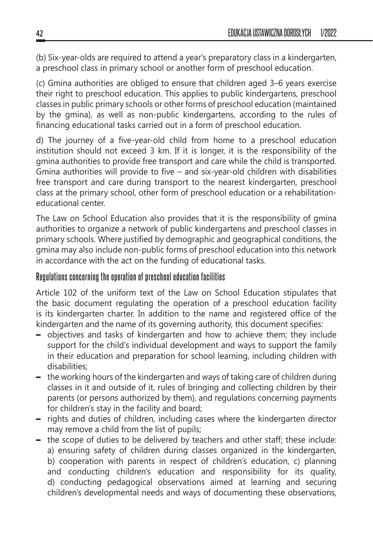(b) Six-year-olds are required to attend a year's preparatory class in a kindergarten, a preschool class in primary school or another form of preschool education.

(c) Gmina authorities are obliged to ensure that children aged 3–6 years exercise their right to preschool education. This applies to public kindergartens, preschool classes in public primary schools or other forms of preschool education (maintained by the gmina), as well as non-public kindergartens, according to the rules of financing educational tasks carried out in a form of preschool education.

d) The journey of a five-year-old child from home to a preschool education institution should not exceed 3 km. If it is longer, it is the responsibility of the gmina authorities to provide free transport and care while the child is transported. Gmina authorities will provide to five – and six-year-old children with disabilities free transport and care during transport to the nearest kindergarten, preschool class at the primary school, other form of preschool education or a rehabilitationeducational center.

The Law on School Education also provides that it is the responsibility of gmina authorities to organize a network of public kindergartens and preschool classes in primary schools. Where justified by demographic and geographical conditions, the gmina may also include non-public forms of preschool education into this network in accordance with the act on the funding of educational tasks.

#### **Regulations concerning the operation of preschool education facilities**

Article 102 of the uniform text of the Law on School Education stipulates that the basic document regulating the operation of a preschool education facility is its kindergarten charter. In addition to the name and registered office of the kindergarten and the name of its governing authority, this document specifies:

- objectives and tasks of kindergarten and how to achieve them; they include support for the child's individual development and ways to support the family in their education and preparation for school learning, including children with disabilities;
- the working hours of the kindergarten and ways of taking care of children during classes in it and outside of it, rules of bringing and collecting children by their parents (or persons authorized by them), and regulations concerning payments for children's stay in the facility and board;
- rights and duties of children, including cases where the kindergarten director may remove a child from the list of pupils;
- the scope of duties to be delivered by teachers and other staff; these include: a) ensuring safety of children during classes organized in the kindergarten, b) cooperation with parents in respect of children's education, c) planning and conducting children's education and responsibility for its quality, d) conducting pedagogical observations aimed at learning and securing children's developmental needs and ways of documenting these observations,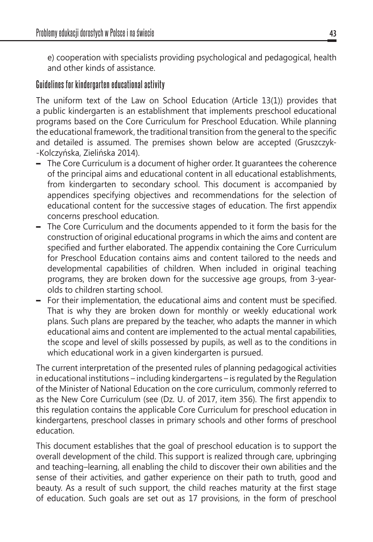e) cooperation with specialists providing psychological and pedagogical, health and other kinds of assistance.

#### **Guidelines for kindergarten educational activity**

The uniform text of the Law on School Education (Article 13(1)) provides that a public kindergarten is an establishment that implements preschool educational programs based on the Core Curriculum for Preschool Education. While planning the educational framework, the traditional transition from the general to the specific and detailed is assumed. The premises shown below are accepted (Gruszczyk- -Kolczyńska, Zielińska 2014).

- The Core Curriculum is a document of higher order. It guarantees the coherence of the principal aims and educational content in all educational establishments, from kindergarten to secondary school. This document is accompanied by appendices specifying objectives and recommendations for the selection of educational content for the successive stages of education. The first appendix concerns preschool education.
- The Core Curriculum and the documents appended to it form the basis for the construction of original educational programs in which the aims and content are specified and further elaborated. The appendix containing the Core Curriculum for Preschool Education contains aims and content tailored to the needs and developmental capabilities of children. When included in original teaching programs, they are broken down for the successive age groups, from 3-yearolds to children starting school.
- For their implementation, the educational aims and content must be specified. That is why they are broken down for monthly or weekly educational work plans. Such plans are prepared by the teacher, who adapts the manner in which educational aims and content are implemented to the actual mental capabilities, the scope and level of skills possessed by pupils, as well as to the conditions in which educational work in a given kindergarten is pursued.

The current interpretation of the presented rules of planning pedagogical activities in educational institutions – including kindergartens – is regulated by the Regulation of the Minister of National Education on the core curriculum, commonly referred to as the New Core Curriculum (see (Dz. U. of 2017, item 356). The first appendix to this regulation contains the applicable Core Curriculum for preschool education in kindergartens, preschool classes in primary schools and other forms of preschool education.

This document establishes that the goal of preschool education is to support the overall development of the child. This support is realized through care, upbringing and teaching–learning, all enabling the child to discover their own abilities and the sense of their activities, and gather experience on their path to truth, good and beauty. As a result of such support, the child reaches maturity at the first stage of education. Such goals are set out as 17 provisions, in the form of preschool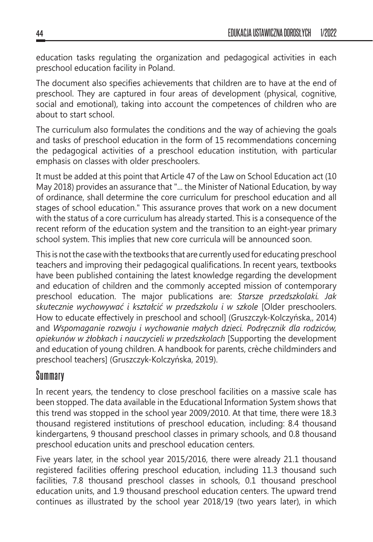education tasks regulating the organization and pedagogical activities in each preschool education facility in Poland.

The document also specifies achievements that children are to have at the end of preschool. They are captured in four areas of development (physical, cognitive, social and emotional), taking into account the competences of children who are about to start school.

The curriculum also formulates the conditions and the way of achieving the goals and tasks of preschool education in the form of 15 recommendations concerning the pedagogical activities of a preschool education institution, with particular emphasis on classes with older preschoolers.

It must be added at this point that Article 47 of the Law on School Education act (10 May 2018) provides an assurance that "... the Minister of National Education, by way of ordinance, shall determine the core curriculum for preschool education and all stages of school education." This assurance proves that work on a new document with the status of a core curriculum has already started. This is a consequence of the recent reform of the education system and the transition to an eight-year primary school system. This implies that new core curricula will be announced soon.

This is not the case with the textbooks that are currently used for educating preschool teachers and improving their pedagogical qualifications. In recent years, textbooks have been published containing the latest knowledge regarding the development and education of children and the commonly accepted mission of contemporary preschool education. The major publications are: *Starsze przedszkolaki. Jak skutecznie wychowywać i kształcić w przedszkolu i w szkole* [Older preschoolers. How to educate effectively in preschool and school] (Gruszczyk-Kolczyńska,, 2014) and *Wspomaganie rozwoju i wychowanie małych dzieci. Podręcznik dla rodziców, opiekunów w żłobkach i nauczycieli w przedszkolach* [Supporting the development and education of young children. A handbook for parents, crèche childminders and preschool teachers] (Gruszczyk-Kolczyńska, 2019).

## **Summary**

In recent years, the tendency to close preschool facilities on a massive scale has been stopped. The data available in the Educational Information System shows that this trend was stopped in the school year 2009/2010. At that time, there were 18.3 thousand registered institutions of preschool education, including: 8.4 thousand kindergartens, 9 thousand preschool classes in primary schools, and 0.8 thousand preschool education units and preschool education centers.

Five years later, in the school year 2015/2016, there were already 21.1 thousand registered facilities offering preschool education, including 11.3 thousand such facilities, 7.8 thousand preschool classes in schools, 0.1 thousand preschool education units, and 1.9 thousand preschool education centers. The upward trend continues as illustrated by the school year 2018/19 (two years later), in which